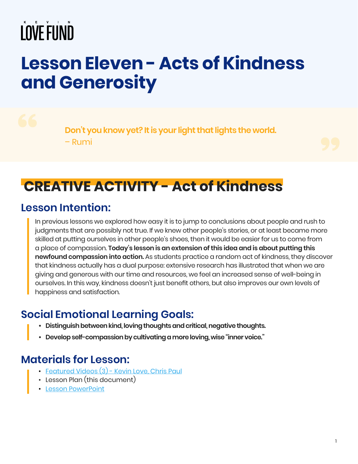## **Lesson Eleven - Acts of Kindness and Generosity**

**Don't you know yet? It is your light that lights the world.** – Rumi

## **CREATIVE ACTIVITY - Act of Kindness**

### **Lesson Intention:**

In previous lessons we explored how easy it is to jump to conclusions about people and rush to judgments that are possibly not true. If we knew other people's stories, or at least became more skilled at putting ourselves in other people's shoes, then it would be easier for us to come from a place of compassion. **Today's lesson is an extension of this idea and is about putting this newfound compassion into action.** As students practice a random act of kindness, they discover that kindness actually has a dual purpose: extensive research has illustrated that when we are giving and generous with our time and resources, we feel an increased sense of well-being in ourselves. In this way, kindness doesn't just benefit others, but also improves our own levels of happiness and satisfaction.

## **Social Emotional Learning Goals:**

- **• Distinguish between kind, loving thoughts and critical, negative thoughts.**
- **• Develop self-compassion by cultivating a more loving, wise "inner voice."**

## **Materials for Lesson:**

- [Featured Videos \(3\) Kevin Love, Chris Paul](https://kevinlovefund.org/for-teachers/lesson-eleven/#artist-video)
- Lesson Plan (this document)
- [Lesson PowerPoint](https://kevinlovefund.org/downloads/lesson-materials/KLF-SEL-Lesson-Eleven.pdf)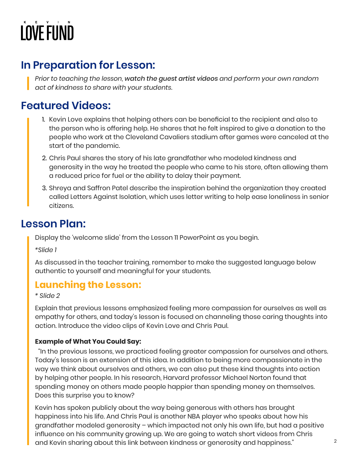## **In Preparation for Lesson:**

*Prior to teaching the lesson, watch the guest artist videos and perform your own random act of kindness to share with your students.*

## **Featured Videos:**

- 1. Kevin Love explains that helping others can be beneficial to the recipient and also to the person who is offering help. He shares that he felt inspired to give a donation to the people who work at the Cleveland Cavaliers stadium after games were canceled at the start of the pandemic.
- 2. Chris Paul shares the story of his late grandfather who modeled kindness and generosity in the way he treated the people who came to his store, often allowing them a reduced price for fuel or the ability to delay their payment.
- 3. Shreya and Saffron Patel describe the inspiration behind the organization they created called Letters Against Isolation, which uses letter writing to help ease loneliness in senior citizens.

### **Lesson Plan:**

Display the 'welcome slide' from the Lesson 11 PowerPoint as you begin.

*\*Slide 1*

As discussed in the teacher training, remember to make the suggested language below authentic to yourself and meaningful for your students.

### **Launching the Lesson:**

*\* Slide 2*

Explain that previous lessons emphasized feeling more compassion for ourselves as well as empathy for others, and today's lesson is focused on channeling those caring thoughts into action. Introduce the video clips of Kevin Love and Chris Paul.

#### **Example of What You Could Say:**

 "In the previous lessons, we practiced feeling greater compassion for ourselves and others. Today's lesson is an extension of this idea. In addition to being more compassionate in the way we think about ourselves and others, we can also put these kind thoughts into action by helping other people. In his research, Harvard professor Michael Norton found that spending money on others made people happier than spending money on themselves. Does this surprise you to know?

Kevin has spoken publicly about the way being generous with others has brought happiness into his life. And Chris Paul is another NBA player who speaks about how his grandfather modeled generosity – which impacted not only his own life, but had a positive influence on his community growing up. We are going to watch short videos from Chris and Kevin sharing about this link between kindness or generosity and happiness."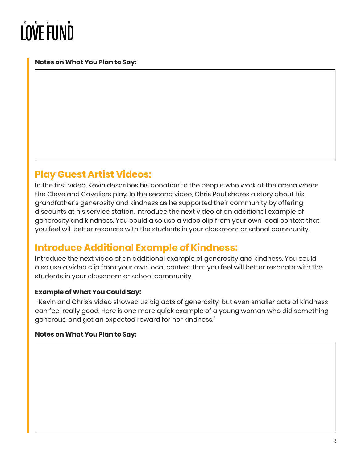#### **Notes on What You Plan to Say:**

### **Play Guest Artist Videos:**

In the first video, Kevin describes his donation to the people who work at the arena where the Cleveland Cavaliers play. In the second video, Chris Paul shares a story about his grandfather's generosity and kindness as he supported their community by offering discounts at his service station. Introduce the next video of an additional example of generosity and kindness. You could also use a video clip from your own local context that you feel will better resonate with the students in your classroom or school community.

### **Introduce Additional Example of Kindness:**

Introduce the next video of an additional example of generosity and kindness. You could also use a video clip from your own local context that you feel will better resonate with the students in your classroom or school community.

#### **Example of What You Could Say:**

"Kevin and Chris's video showed us big acts of generosity, but even smaller acts of kindness can feel really good. Here is one more quick example of a young woman who did something generous, and got an expected reward for her kindness."

#### **Notes on What You Plan to Say:**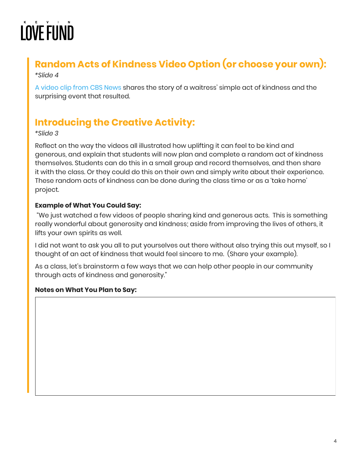## **Random Acts of Kindness Video Option (or choose your own):**

#### *\*Slide 4*

[A video clip from CBS News](https://www.youtube.com/watch?v=efSyXx6fVVA) shares the story of a waitress' simple act of kindness and the surprising event that resulted.

## **Introducing the Creative Activity:**

#### *\*Slide 3*

Reflect on the way the videos all illustrated how uplifting it can feel to be kind and generous, and explain that students will now plan and complete a random act of kindness themselves. Students can do this in a small group and record themselves, and then share it with the class. Or they could do this on their own and simply write about their experience. These random acts of kindness can be done during the class time or as a 'take home' project.

#### **Example of What You Could Say:**

"We just watched a few videos of people sharing kind and generous acts. This is something really wonderful about generosity and kindness; aside from improving the lives of others, it lifts your own spirits as well.

I did not want to ask you all to put yourselves out there without also trying this out myself, so I thought of an act of kindness that would feel sincere to me. (Share your example).

As a class, let's brainstorm a few ways that we can help other people in our community through acts of kindness and generosity."

#### **Notes on What You Plan to Say:**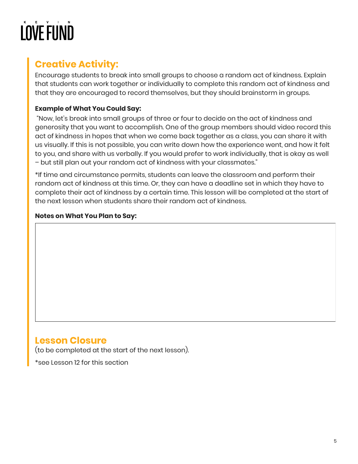## **Creative Activity:**

Encourage students to break into small groups to choose a random act of kindness. Explain that students can work together or individually to complete this random act of kindness and that they are encouraged to record themselves, but they should brainstorm in groups.

#### **Example of What You Could Say:**

"Now, let's break into small groups of three or four to decide on the act of kindness and generosity that you want to accomplish. One of the group members should video record this act of kindness in hopes that when we come back together as a class, you can share it with us visually. If this is not possible, you can write down how the experience went, and how it felt to you, and share with us verbally. If you would prefer to work individually, that is okay as well – but still plan out your random act of kindness with your classmates."

\*If time and circumstance permits, students can leave the classroom and perform their random act of kindness at this time. Or, they can have a deadline set in which they have to complete their act of kindness by a certain time. This lesson will be completed at the start of the next lesson when students share their random act of kindness.

#### **Notes on What You Plan to Say:**

### **Lesson Closure**

(to be completed at the start of the next lesson).

\*see Lesson 12 for this section